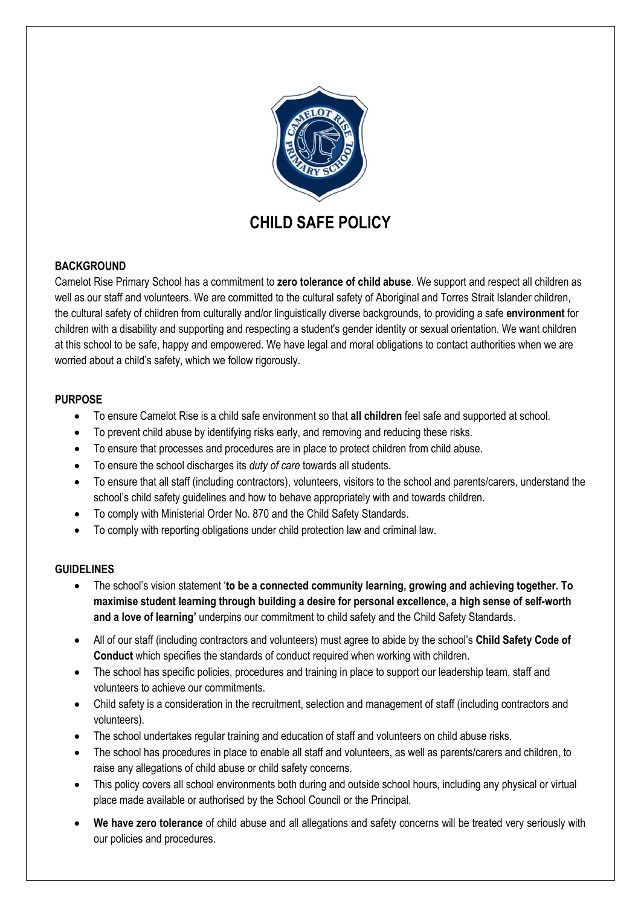

# **BACKGROUND**

Camelot Rise Primary School has a commitment to **zero tolerance of child abuse**. We support and respect all children as well as our staff and volunteers. We are committed to the cultural safety of Aboriginal and Torres Strait Islander children, the cultural safety of children from culturally and/or linguistically diverse backgrounds, to providing a safe **environment** for children with a disability and supporting and respecting a student's gender identity or sexual orientation. We want children at this school to be safe, happy and empowered. We have legal and moral obligations to contact authorities when we are worried about a child's safety, which we follow rigorously.

# **PURPOSE**

- To ensure Camelot Rise is a child safe environment so that **all children** feel safe and supported at school.
- To prevent child abuse by identifying risks early, and removing and reducing these risks.
- To ensure that processes and procedures are in place to protect children from child abuse.
- To ensure the school discharges its *duty of care* towards all students.
- To ensure that all staff (including contractors), volunteers, visitors to the school and parents/carers, understand the school's child safety guidelines and how to behave appropriately with and towards children.
- To comply with Ministerial Order No. 870 and the Child Safety Standards.
- To comply with reporting obligations under child protection law and criminal law.

# **GUIDELINES**

- The school's vision statement '**to be a connected community learning, growing and achieving together. To maximise student learning through building a desire for personal excellence, a high sense of self-worth and a love of learning'** underpins our commitment to child safety and the Child Safety Standards.
- All of our staff (including contractors and volunteers) must agree to abide by the school's **Child Safety Code of Conduct** which specifies the standards of conduct required when working with children.
- The school has specific policies, procedures and training in place to support our leadership team, staff and volunteers to achieve our commitments.
- Child safety is a consideration in the recruitment, selection and management of staff (including contractors and volunteers).
- The school undertakes regular training and education of staff and volunteers on child abuse risks.
- The school has procedures in place to enable all staff and volunteers, as well as parents/carers and children, to raise any allegations of child abuse or child safety concerns.
- This policy covers all school environments both during and outside school hours, including any physical or virtual place made available or authorised by the School Council or the Principal.
- **We have zero tolerance** of child abuse and all allegations and safety concerns will be treated very seriously with our policies and procedures.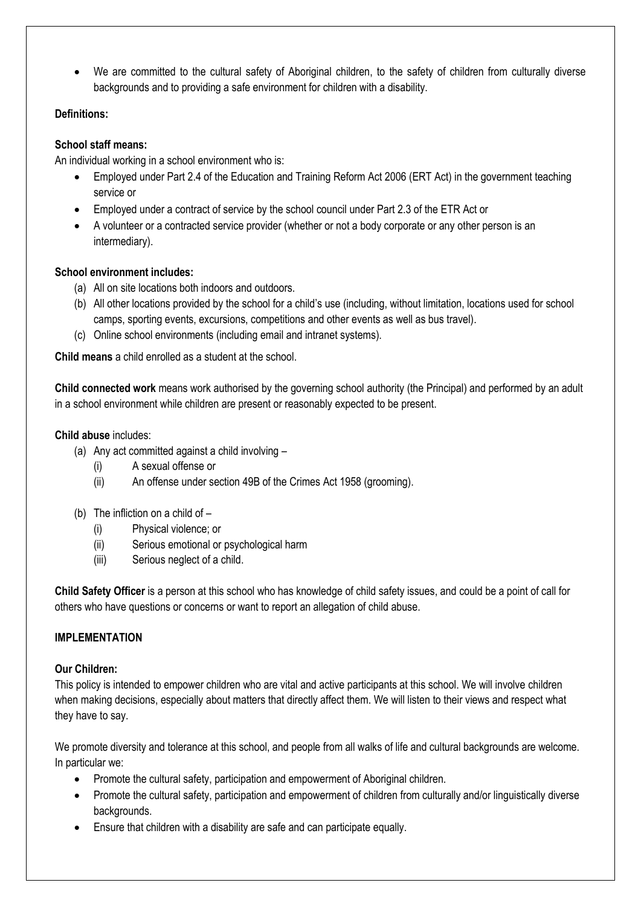We are committed to the cultural safety of Aboriginal children, to the safety of children from culturally diverse backgrounds and to providing a safe environment for children with a disability.

# **Definitions:**

# **School staff means:**

An individual working in a school environment who is:

- Employed under Part 2.4 of the Education and Training Reform Act 2006 (ERT Act) in the government teaching service or
- Employed under a contract of service by the school council under Part 2.3 of the ETR Act or
- A volunteer or a contracted service provider (whether or not a body corporate or any other person is an intermediary).

## **School environment includes:**

- (a) All on site locations both indoors and outdoors.
- (b) All other locations provided by the school for a child's use (including, without limitation, locations used for school camps, sporting events, excursions, competitions and other events as well as bus travel).
- (c) Online school environments (including email and intranet systems).

**Child means** a child enrolled as a student at the school.

**Child connected work** means work authorised by the governing school authority (the Principal) and performed by an adult in a school environment while children are present or reasonably expected to be present.

## **Child abuse** includes:

- (a) Any act committed against a child involving
	- (i) A sexual offense or
	- (ii) An offense under section 49B of the Crimes Act 1958 (grooming).
- (b) The infliction on a child of  $-$ 
	- (i) Physical violence; or
	- (ii) Serious emotional or psychological harm
	- (iii) Serious neglect of a child.

**Child Safety Officer** is a person at this school who has knowledge of child safety issues, and could be a point of call for others who have questions or concerns or want to report an allegation of child abuse.

# **IMPI EMENTATION**

#### **Our Children:**

This policy is intended to empower children who are vital and active participants at this school. We will involve children when making decisions, especially about matters that directly affect them. We will listen to their views and respect what they have to say.

We promote diversity and tolerance at this school, and people from all walks of life and cultural backgrounds are welcome. In particular we:

- Promote the cultural safety, participation and empowerment of Aboriginal children.
- Promote the cultural safety, participation and empowerment of children from culturally and/or linguistically diverse backgrounds.
- Ensure that children with a disability are safe and can participate equally.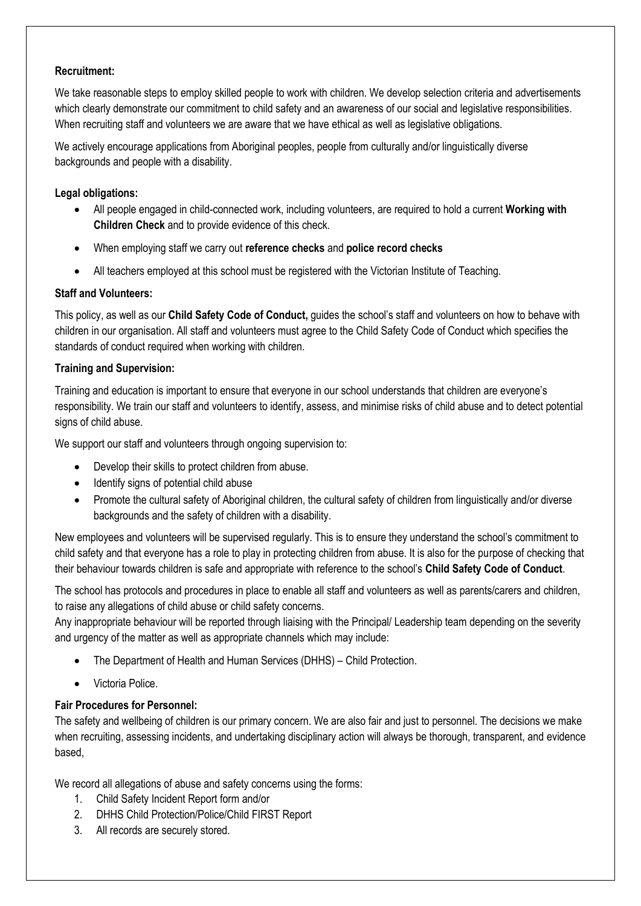#### **Recruitment:**

We take reasonable steps to employ skilled people to work with children. We develop selection criteria and advertisements which clearly demonstrate our commitment to child safety and an awareness of our social and legislative responsibilities. When recruiting staff and volunteers we are aware that we have ethical as well as legislative obligations.

We actively encourage applications from Aboriginal peoples, people from culturally and/or linguistically diverse backgrounds and people with a disability.

## **Legal obligations:**

- All people engaged in child-connected work, including volunteers, are required to hold a current **Working with Children Check** and to provide evidence of this check.
- When employing staff we carry out **reference checks** and **police record checks**
- All teachers employed at this school must be registered with the Victorian Institute of Teaching.

## **Staff and Volunteers:**

This policy, as well as our **Child Safety Code of Conduct,** guides the school's staff and volunteers on how to behave with children in our organisation. All staff and volunteers must agree to the Child Safety Code of Conduct which specifies the standards of conduct required when working with children.

## **Training and Supervision:**

Training and education is important to ensure that everyone in our school understands that children are everyone's responsibility. We train our staff and volunteers to identify, assess, and minimise risks of child abuse and to detect potential signs of child abuse.

We support our staff and volunteers through ongoing supervision to:

- Develop their skills to protect children from abuse.
- Identify signs of potential child abuse
- Promote the cultural safety of Aboriginal children, the cultural safety of children from linguistically and/or diverse backgrounds and the safety of children with a disability.

New employees and volunteers will be supervised regularly. This is to ensure they understand the school's commitment to child safety and that everyone has a role to play in protecting children from abuse. It is also for the purpose of checking that their behaviour towards children is safe and appropriate with reference to the school's **Child Safety Code of Conduct**.

The school has protocols and procedures in place to enable all staff and volunteers as well as parents/carers and children, to raise any allegations of child abuse or child safety concerns.

Any inappropriate behaviour will be reported through liaising with the Principal/ Leadership team depending on the severity and urgency of the matter as well as appropriate channels which may include:

- The Department of Health and Human Services (DHHS) Child Protection.
- Victoria Police.

# **Fair Procedures for Personnel:**

The safety and wellbeing of children is our primary concern. We are also fair and just to personnel. The decisions we make when recruiting, assessing incidents, and undertaking disciplinary action will always be thorough, transparent, and evidence based,

We record all allegations of abuse and safety concerns using the forms:

- 1. Child Safety Incident Report form and/or
- 2. DHHS Child Protection/Police/Child FIRST Report
- 3. All records are securely stored.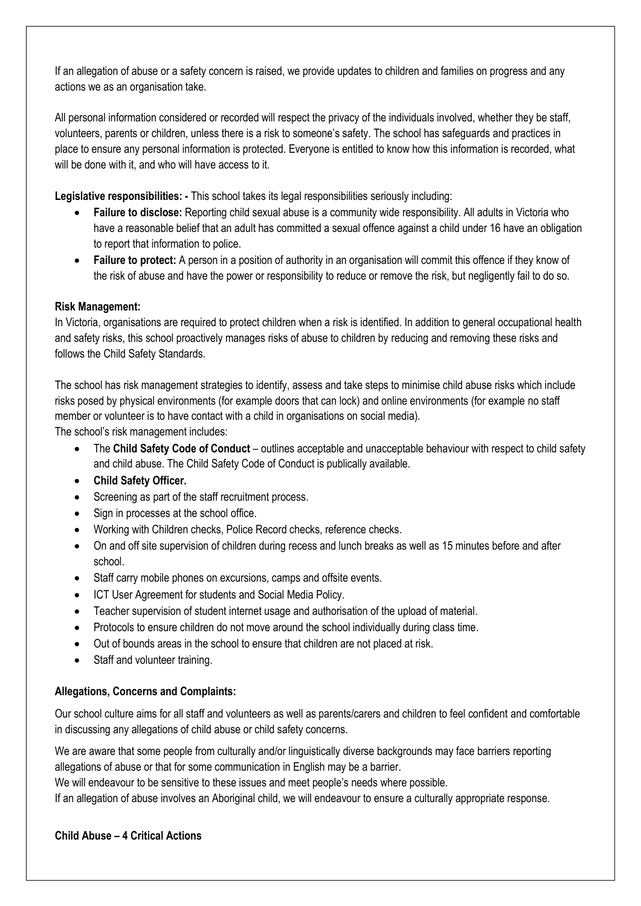If an allegation of abuse or a safety concern is raised, we provide updates to children and families on progress and any actions we as an organisation take.

All personal information considered or recorded will respect the privacy of the individuals involved, whether they be staff, volunteers, parents or children, unless there is a risk to someone's safety. The school has safeguards and practices in place to ensure any personal information is protected. Everyone is entitled to know how this information is recorded, what will be done with it, and who will have access to it.

**Legislative responsibilities: -** This school takes its legal responsibilities seriously including:

- **Failure to disclose:** Reporting child sexual abuse is a community wide responsibility. All adults in Victoria who have a reasonable belief that an adult has committed a sexual offence against a child under 16 have an obligation to report that information to police.
- **Failure to protect:** A person in a position of authority in an organisation will commit this offence if they know of the risk of abuse and have the power or responsibility to reduce or remove the risk, but negligently fail to do so.

## **Risk Management:**

In Victoria, organisations are required to protect children when a risk is identified. In addition to general occupational health and safety risks, this school proactively manages risks of abuse to children by reducing and removing these risks and follows the Child Safety Standards.

The school has risk management strategies to identify, assess and take steps to minimise child abuse risks which include risks posed by physical environments (for example doors that can lock) and online environments (for example no staff member or volunteer is to have contact with a child in organisations on social media).

The school's risk management includes:

- The **Child Safety Code of Conduct** outlines acceptable and unacceptable behaviour with respect to child safety and child abuse. The Child Safety Code of Conduct is publically available.
- **Child Safety Officer.**
- Screening as part of the staff recruitment process.
- Sign in processes at the school office.
- Working with Children checks, Police Record checks, reference checks.
- On and off site supervision of children during recess and lunch breaks as well as 15 minutes before and after school.
- Staff carry mobile phones on excursions, camps and offsite events.
- ICT User Agreement for students and Social Media Policy.
- Teacher supervision of student internet usage and authorisation of the upload of material.
- Protocols to ensure children do not move around the school individually during class time.
- Out of bounds areas in the school to ensure that children are not placed at risk.
- Staff and volunteer training.

# **Allegations, Concerns and Complaints:**

Our school culture aims for all staff and volunteers as well as parents/carers and children to feel confident and comfortable in discussing any allegations of child abuse or child safety concerns.

We are aware that some people from culturally and/or linguistically diverse backgrounds may face barriers reporting allegations of abuse or that for some communication in English may be a barrier.

We will endeavour to be sensitive to these issues and meet people's needs where possible.

If an allegation of abuse involves an Aboriginal child, we will endeavour to ensure a culturally appropriate response.

#### **Child Abuse – 4 Critical Actions**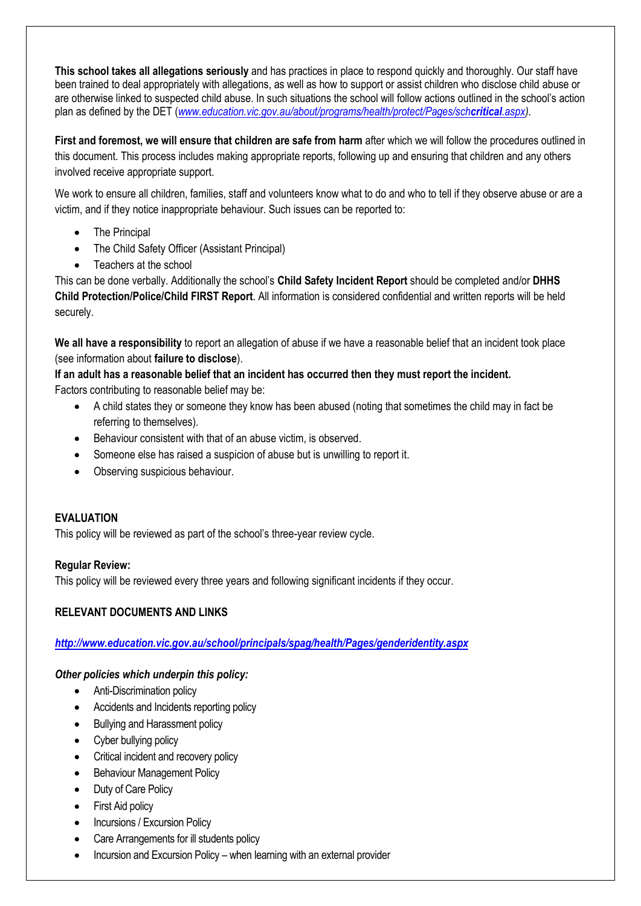**This school takes all allegations seriously** and has practices in place to respond quickly and thoroughly. Our staff have been trained to deal appropriately with allegations, as well as how to support or assist children who disclose child abuse or are otherwise linked to suspected child abuse. In such situations the school will follow actions outlined in the school's action plan as defined by the DET (*[www.education.vic.gov.au/about/programs/health/protect/Pages/sch](http://www.education.vic.gov.au/about/programs/health/protect/Pages/schcritical.aspx)critical.aspx)*.

**First and foremost, we will ensure that children are safe from harm** after which we will follow the procedures outlined in this document. This process includes making appropriate reports, following up and ensuring that children and any others involved receive appropriate support.

We work to ensure all children, families, staff and volunteers know what to do and who to tell if they observe abuse or are a victim, and if they notice inappropriate behaviour. Such issues can be reported to:

- The Principal
- The Child Safety Officer (Assistant Principal)
- Teachers at the school

This can be done verbally. Additionally the school's **Child Safety Incident Report** should be completed and/or **DHHS Child Protection/Police/Child FIRST Report**. All information is considered confidential and written reports will be held securely.

**We all have a responsibility** to report an allegation of abuse if we have a reasonable belief that an incident took place (see information about **failure to disclose**).

**If an adult has a reasonable belief that an incident has occurred then they must report the incident.** Factors contributing to reasonable belief may be:

- A child states they or someone they know has been abused (noting that sometimes the child may in fact be referring to themselves).
- Behaviour consistent with that of an abuse victim, is observed.
- Someone else has raised a suspicion of abuse but is unwilling to report it.
- Observing suspicious behaviour.

#### **EVALUATION**

This policy will be reviewed as part of the school's three-year review cycle.

#### **Regular Review:**

This policy will be reviewed every three years and following significant incidents if they occur.

#### **RELEVANT DOCUMENTS AND LINKS**

*<http://www.education.vic.gov.au/school/principals/spag/health/Pages/genderidentity.aspx>*

*Other policies which underpin this policy:*

- Anti-Discrimination policy
- Accidents and Incidents reporting policy
- Bullying and Harassment policy
- Cyber bullying policy
- Critical incident and recovery policy
- Behaviour Management Policy
- Duty of Care Policy
- First Aid policy
- Incursions / Excursion Policy
- Care Arrangements for ill students policy
- Incursion and Excursion Policy when learning with an external provider